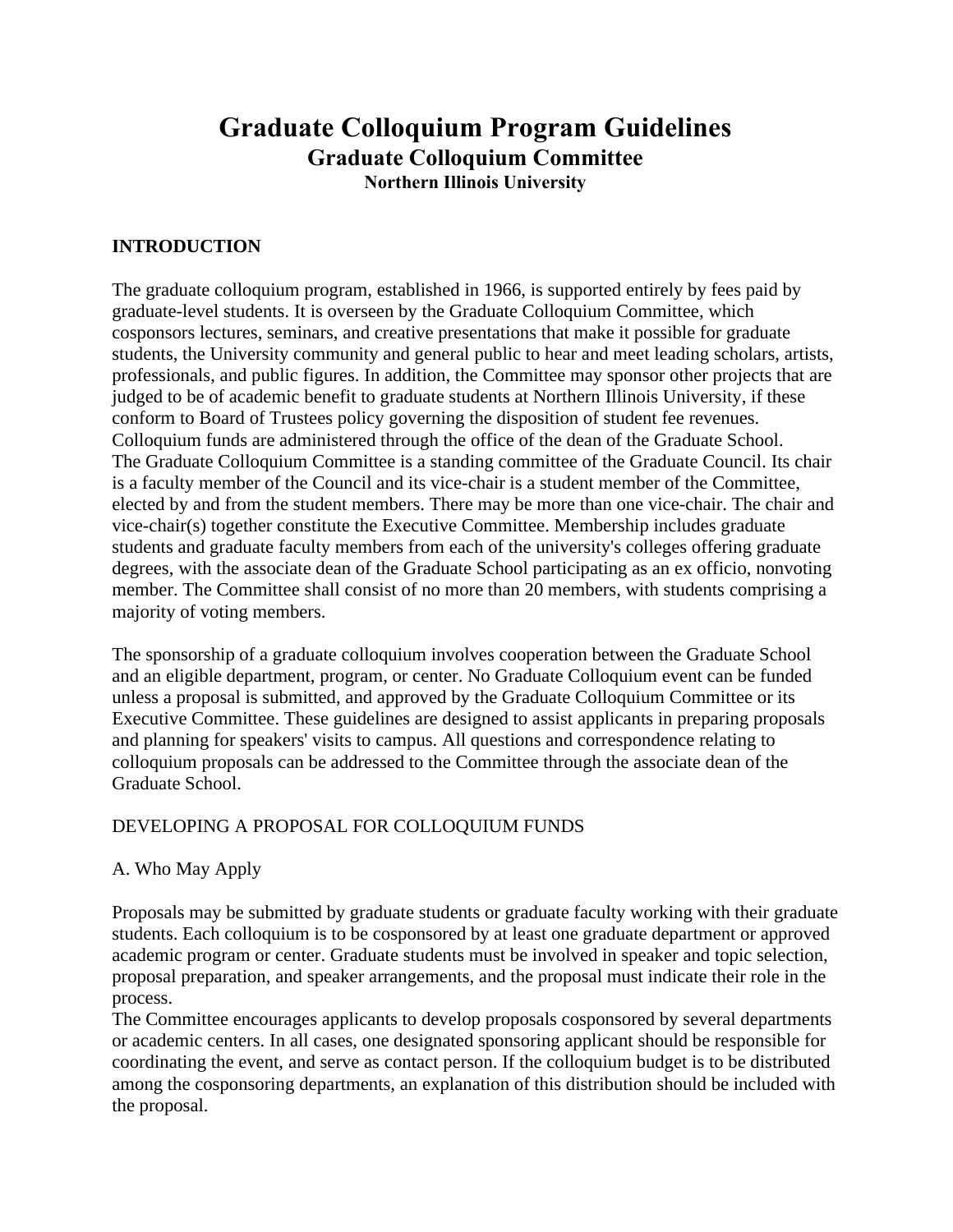# **Graduate Colloquium Program Guidelines Graduate Colloquium Committee Northern Illinois University**

# **INTRODUCTION**

The graduate colloquium program, established in 1966, is supported entirely by fees paid by graduate-level students. It is overseen by the Graduate Colloquium Committee, which cosponsors lectures, seminars, and creative presentations that make it possible for graduate students, the University community and general public to hear and meet leading scholars, artists, professionals, and public figures. In addition, the Committee may sponsor other projects that are judged to be of academic benefit to graduate students at Northern Illinois University, if these conform to Board of Trustees policy governing the disposition of student fee revenues. Colloquium funds are administered through the office of the dean of the Graduate School. The Graduate Colloquium Committee is a standing committee of the Graduate Council. Its chair is a faculty member of the Council and its vice-chair is a student member of the Committee, elected by and from the student members. There may be more than one vice-chair. The chair and vice-chair(s) together constitute the Executive Committee. Membership includes graduate students and graduate faculty members from each of the university's colleges offering graduate degrees, with the associate dean of the Graduate School participating as an ex officio, nonvoting member. The Committee shall consist of no more than 20 members, with students comprising a majority of voting members.

The sponsorship of a graduate colloquium involves cooperation between the Graduate School and an eligible department, program, or center. No Graduate Colloquium event can be funded unless a proposal is submitted, and approved by the Graduate Colloquium Committee or its Executive Committee. These guidelines are designed to assist applicants in preparing proposals and planning for speakers' visits to campus. All questions and correspondence relating to colloquium proposals can be addressed to the Committee through the associate dean of the Graduate School.

# DEVELOPING A PROPOSAL FOR COLLOQUIUM FUNDS

# A. Who May Apply

Proposals may be submitted by graduate students or graduate faculty working with their graduate students. Each colloquium is to be cosponsored by at least one graduate department or approved academic program or center. Graduate students must be involved in speaker and topic selection, proposal preparation, and speaker arrangements, and the proposal must indicate their role in the process.

The Committee encourages applicants to develop proposals cosponsored by several departments or academic centers. In all cases, one designated sponsoring applicant should be responsible for coordinating the event, and serve as contact person. If the colloquium budget is to be distributed among the cosponsoring departments, an explanation of this distribution should be included with the proposal.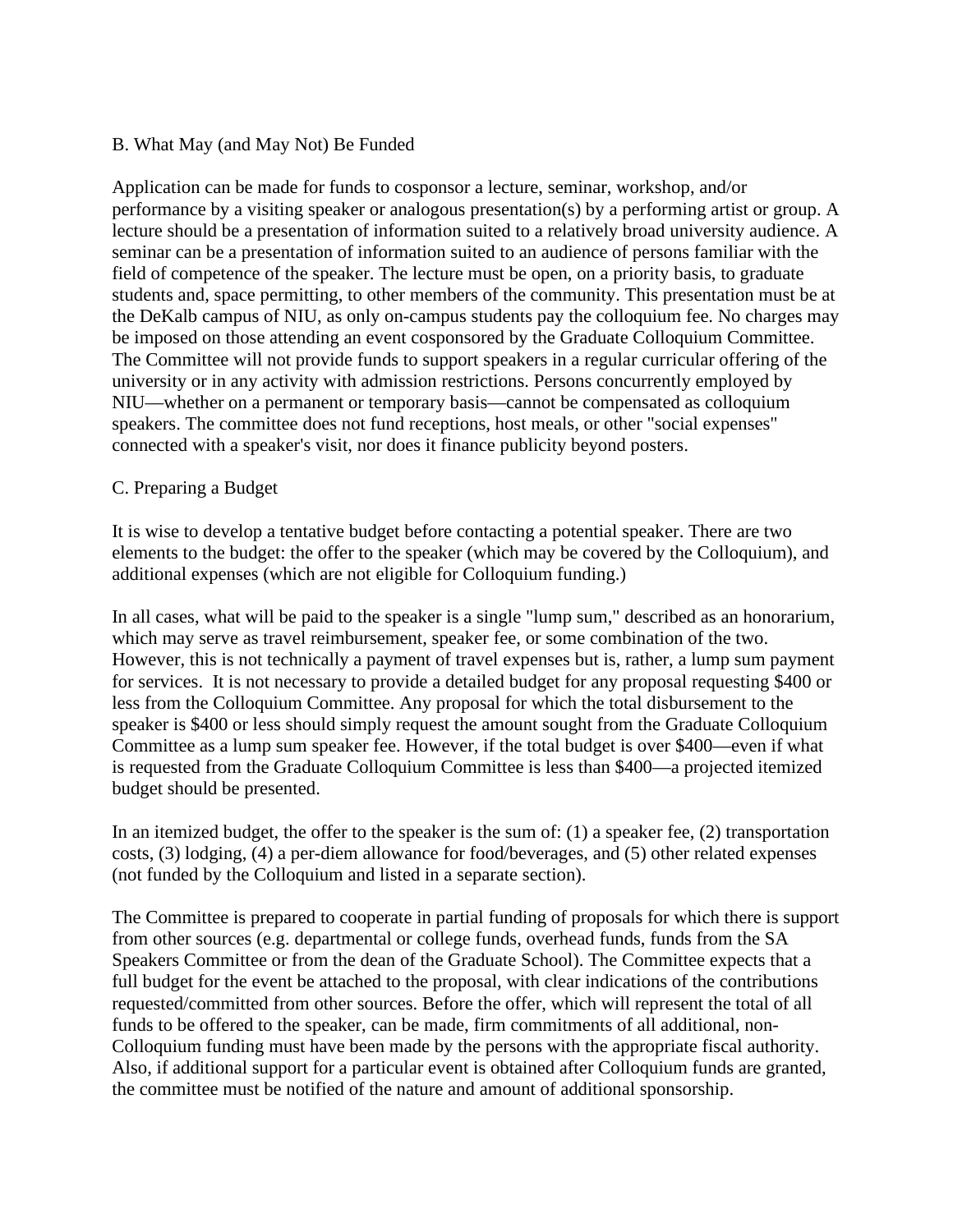#### B. What May (and May Not) Be Funded

Application can be made for funds to cosponsor a lecture, seminar, workshop, and/or performance by a visiting speaker or analogous presentation(s) by a performing artist or group. A lecture should be a presentation of information suited to a relatively broad university audience. A seminar can be a presentation of information suited to an audience of persons familiar with the field of competence of the speaker. The lecture must be open, on a priority basis, to graduate students and, space permitting, to other members of the community. This presentation must be at the DeKalb campus of NIU, as only on-campus students pay the colloquium fee. No charges may be imposed on those attending an event cosponsored by the Graduate Colloquium Committee. The Committee will not provide funds to support speakers in a regular curricular offering of the university or in any activity with admission restrictions. Persons concurrently employed by NIU—whether on a permanent or temporary basis—cannot be compensated as colloquium speakers. The committee does not fund receptions, host meals, or other "social expenses" connected with a speaker's visit, nor does it finance publicity beyond posters.

#### C. Preparing a Budget

It is wise to develop a tentative budget before contacting a potential speaker. There are two elements to the budget: the offer to the speaker (which may be covered by the Colloquium), and additional expenses (which are not eligible for Colloquium funding.)

In all cases, what will be paid to the speaker is a single "lump sum," described as an honorarium, which may serve as travel reimbursement, speaker fee, or some combination of the two. However, this is not technically a payment of travel expenses but is, rather, a lump sum payment for services. It is not necessary to provide a detailed budget for any proposal requesting \$400 or less from the Colloquium Committee. Any proposal for which the total disbursement to the speaker is \$400 or less should simply request the amount sought from the Graduate Colloquium Committee as a lump sum speaker fee. However, if the total budget is over \$400—even if what is requested from the Graduate Colloquium Committee is less than \$400—a projected itemized budget should be presented.

In an itemized budget, the offer to the speaker is the sum of: (1) a speaker fee, (2) transportation costs, (3) lodging, (4) a per-diem allowance for food/beverages, and (5) other related expenses (not funded by the Colloquium and listed in a separate section).

The Committee is prepared to cooperate in partial funding of proposals for which there is support from other sources (e.g. departmental or college funds, overhead funds, funds from the SA Speakers Committee or from the dean of the Graduate School). The Committee expects that a full budget for the event be attached to the proposal, with clear indications of the contributions requested/committed from other sources. Before the offer, which will represent the total of all funds to be offered to the speaker, can be made, firm commitments of all additional, non-Colloquium funding must have been made by the persons with the appropriate fiscal authority. Also, if additional support for a particular event is obtained after Colloquium funds are granted, the committee must be notified of the nature and amount of additional sponsorship.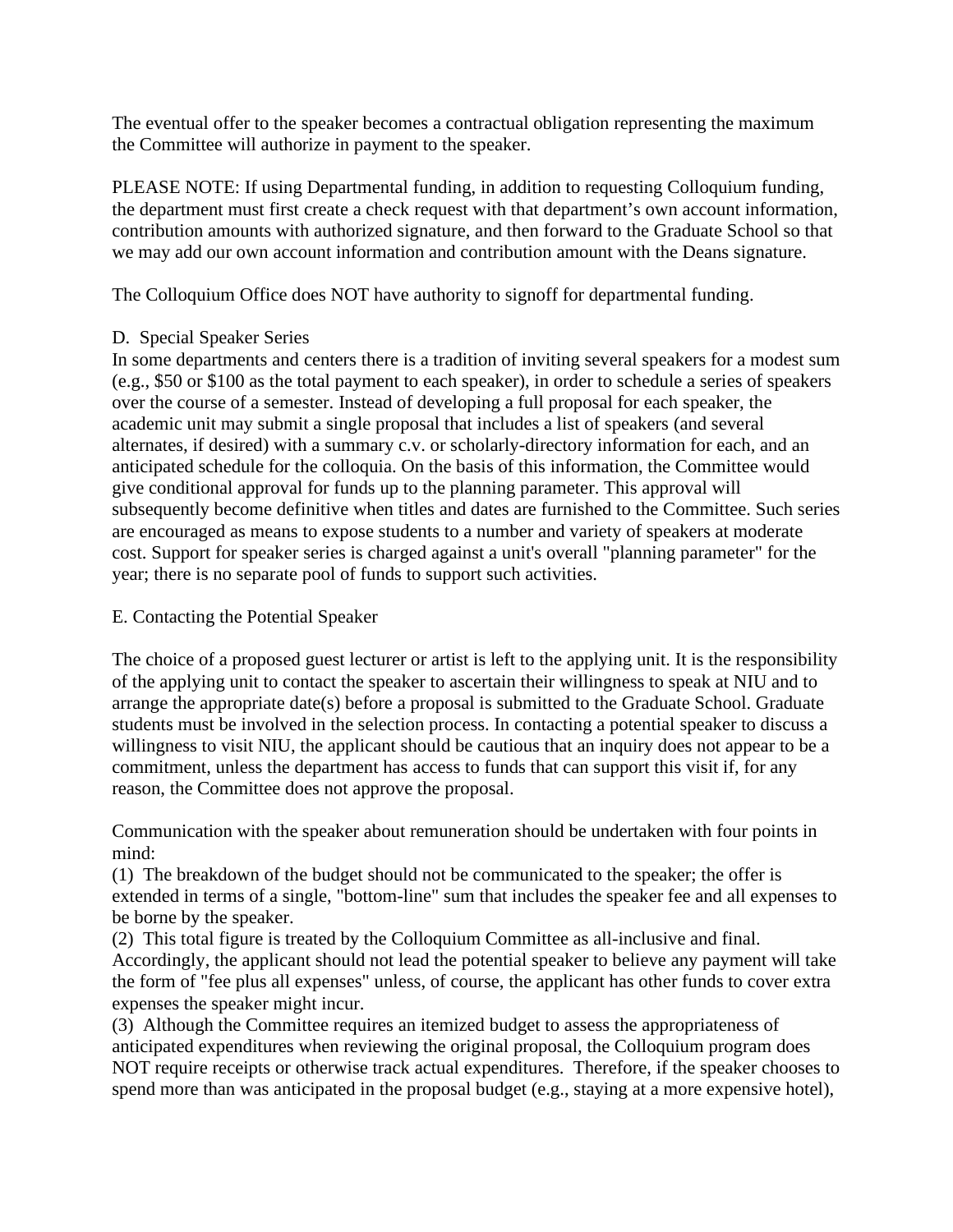The eventual offer to the speaker becomes a contractual obligation representing the maximum the Committee will authorize in payment to the speaker.

PLEASE NOTE: If using Departmental funding, in addition to requesting Colloquium funding, the department must first create a check request with that department's own account information, contribution amounts with authorized signature, and then forward to the Graduate School so that we may add our own account information and contribution amount with the Deans signature.

The Colloquium Office does NOT have authority to signoff for departmental funding.

# D. Special Speaker Series

In some departments and centers there is a tradition of inviting several speakers for a modest sum (e.g., \$50 or \$100 as the total payment to each speaker), in order to schedule a series of speakers over the course of a semester. Instead of developing a full proposal for each speaker, the academic unit may submit a single proposal that includes a list of speakers (and several alternates, if desired) with a summary c.v. or scholarly-directory information for each, and an anticipated schedule for the colloquia. On the basis of this information, the Committee would give conditional approval for funds up to the planning parameter. This approval will subsequently become definitive when titles and dates are furnished to the Committee. Such series are encouraged as means to expose students to a number and variety of speakers at moderate cost. Support for speaker series is charged against a unit's overall "planning parameter" for the year; there is no separate pool of funds to support such activities.

#### E. Contacting the Potential Speaker

The choice of a proposed guest lecturer or artist is left to the applying unit. It is the responsibility of the applying unit to contact the speaker to ascertain their willingness to speak at NIU and to arrange the appropriate date(s) before a proposal is submitted to the Graduate School. Graduate students must be involved in the selection process. In contacting a potential speaker to discuss a willingness to visit NIU, the applicant should be cautious that an inquiry does not appear to be a commitment, unless the department has access to funds that can support this visit if, for any reason, the Committee does not approve the proposal.

Communication with the speaker about remuneration should be undertaken with four points in mind:

(1) The breakdown of the budget should not be communicated to the speaker; the offer is extended in terms of a single, "bottom-line" sum that includes the speaker fee and all expenses to be borne by the speaker.

(2) This total figure is treated by the Colloquium Committee as all-inclusive and final. Accordingly, the applicant should not lead the potential speaker to believe any payment will take the form of "fee plus all expenses" unless, of course, the applicant has other funds to cover extra expenses the speaker might incur.

(3) Although the Committee requires an itemized budget to assess the appropriateness of anticipated expenditures when reviewing the original proposal, the Colloquium program does NOT require receipts or otherwise track actual expenditures. Therefore, if the speaker chooses to spend more than was anticipated in the proposal budget (e.g., staying at a more expensive hotel),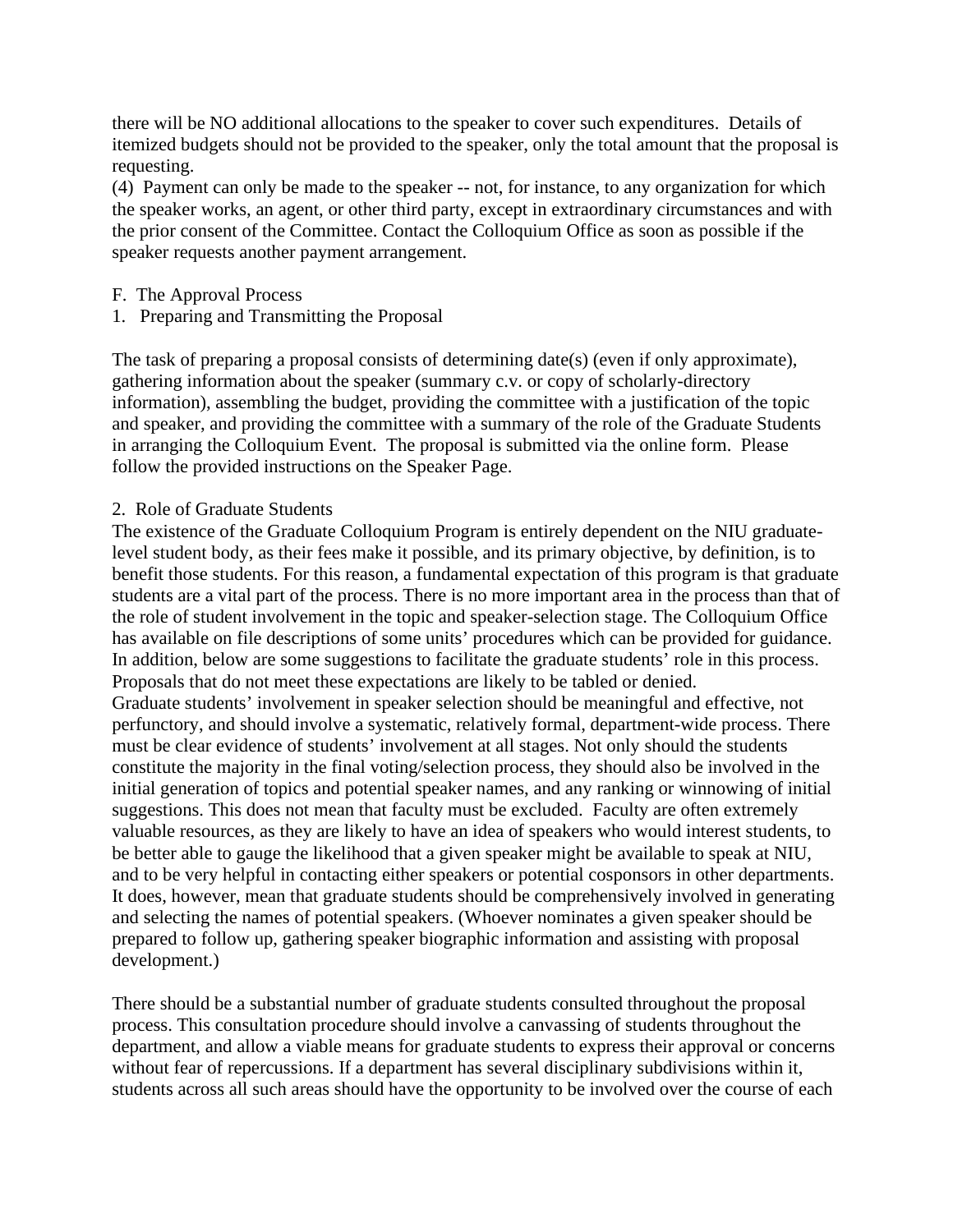there will be NO additional allocations to the speaker to cover such expenditures. Details of itemized budgets should not be provided to the speaker, only the total amount that the proposal is requesting.

(4) Payment can only be made to the speaker -- not, for instance, to any organization for which the speaker works, an agent, or other third party, except in extraordinary circumstances and with the prior consent of the Committee. Contact the Colloquium Office as soon as possible if the speaker requests another payment arrangement.

- F. The Approval Process
- 1. Preparing and Transmitting the Proposal

The task of preparing a proposal consists of determining date(s) (even if only approximate), gathering information about the speaker (summary c.v. or copy of scholarly-directory information), assembling the budget, providing the committee with a justification of the topic and speaker, and providing the committee with a summary of the role of the Graduate Students in arranging the Colloquium Event. The proposal is submitted via the online form. Please follow the provided instructions on the Speaker Page.

2. Role of Graduate Students

The existence of the Graduate Colloquium Program is entirely dependent on the NIU graduatelevel student body, as their fees make it possible, and its primary objective, by definition, is to benefit those students. For this reason, a fundamental expectation of this program is that graduate students are a vital part of the process. There is no more important area in the process than that of the role of student involvement in the topic and speaker-selection stage. The Colloquium Office has available on file descriptions of some units' procedures which can be provided for guidance. In addition, below are some suggestions to facilitate the graduate students' role in this process. Proposals that do not meet these expectations are likely to be tabled or denied. Graduate students' involvement in speaker selection should be meaningful and effective, not perfunctory, and should involve a systematic, relatively formal, department-wide process. There must be clear evidence of students' involvement at all stages. Not only should the students constitute the majority in the final voting/selection process, they should also be involved in the initial generation of topics and potential speaker names, and any ranking or winnowing of initial suggestions. This does not mean that faculty must be excluded. Faculty are often extremely valuable resources, as they are likely to have an idea of speakers who would interest students, to be better able to gauge the likelihood that a given speaker might be available to speak at NIU, and to be very helpful in contacting either speakers or potential cosponsors in other departments. It does, however, mean that graduate students should be comprehensively involved in generating and selecting the names of potential speakers. (Whoever nominates a given speaker should be prepared to follow up, gathering speaker biographic information and assisting with proposal development.)

There should be a substantial number of graduate students consulted throughout the proposal process. This consultation procedure should involve a canvassing of students throughout the department, and allow a viable means for graduate students to express their approval or concerns without fear of repercussions. If a department has several disciplinary subdivisions within it, students across all such areas should have the opportunity to be involved over the course of each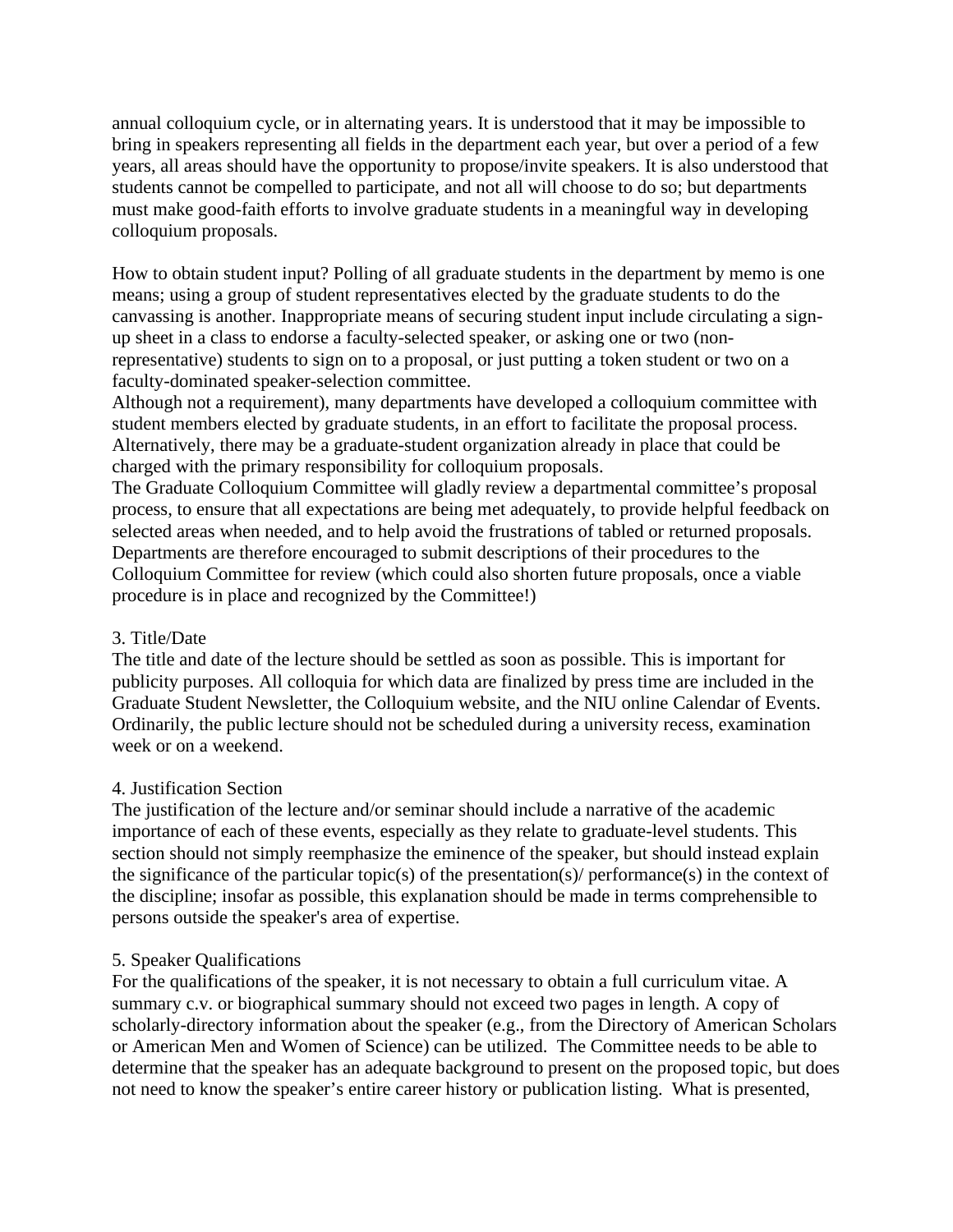annual colloquium cycle, or in alternating years. It is understood that it may be impossible to bring in speakers representing all fields in the department each year, but over a period of a few years, all areas should have the opportunity to propose/invite speakers. It is also understood that students cannot be compelled to participate, and not all will choose to do so; but departments must make good-faith efforts to involve graduate students in a meaningful way in developing colloquium proposals.

How to obtain student input? Polling of all graduate students in the department by memo is one means; using a group of student representatives elected by the graduate students to do the canvassing is another. Inappropriate means of securing student input include circulating a signup sheet in a class to endorse a faculty-selected speaker, or asking one or two (nonrepresentative) students to sign on to a proposal, or just putting a token student or two on a faculty-dominated speaker-selection committee.

Although not a requirement), many departments have developed a colloquium committee with student members elected by graduate students, in an effort to facilitate the proposal process. Alternatively, there may be a graduate-student organization already in place that could be charged with the primary responsibility for colloquium proposals.

The Graduate Colloquium Committee will gladly review a departmental committee's proposal process, to ensure that all expectations are being met adequately, to provide helpful feedback on selected areas when needed, and to help avoid the frustrations of tabled or returned proposals. Departments are therefore encouraged to submit descriptions of their procedures to the Colloquium Committee for review (which could also shorten future proposals, once a viable procedure is in place and recognized by the Committee!)

# 3. Title/Date

The title and date of the lecture should be settled as soon as possible. This is important for publicity purposes. All colloquia for which data are finalized by press time are included in the Graduate Student Newsletter, the Colloquium website, and the NIU online Calendar of Events. Ordinarily, the public lecture should not be scheduled during a university recess, examination week or on a weekend.

# 4. Justification Section

The justification of the lecture and/or seminar should include a narrative of the academic importance of each of these events, especially as they relate to graduate-level students. This section should not simply reemphasize the eminence of the speaker, but should instead explain the significance of the particular topic(s) of the presentation(s)/ performance(s) in the context of the discipline; insofar as possible, this explanation should be made in terms comprehensible to persons outside the speaker's area of expertise.

# 5. Speaker Qualifications

For the qualifications of the speaker, it is not necessary to obtain a full curriculum vitae. A summary c.v. or biographical summary should not exceed two pages in length. A copy of scholarly-directory information about the speaker (e.g., from the Directory of American Scholars or American Men and Women of Science) can be utilized. The Committee needs to be able to determine that the speaker has an adequate background to present on the proposed topic, but does not need to know the speaker's entire career history or publication listing. What is presented,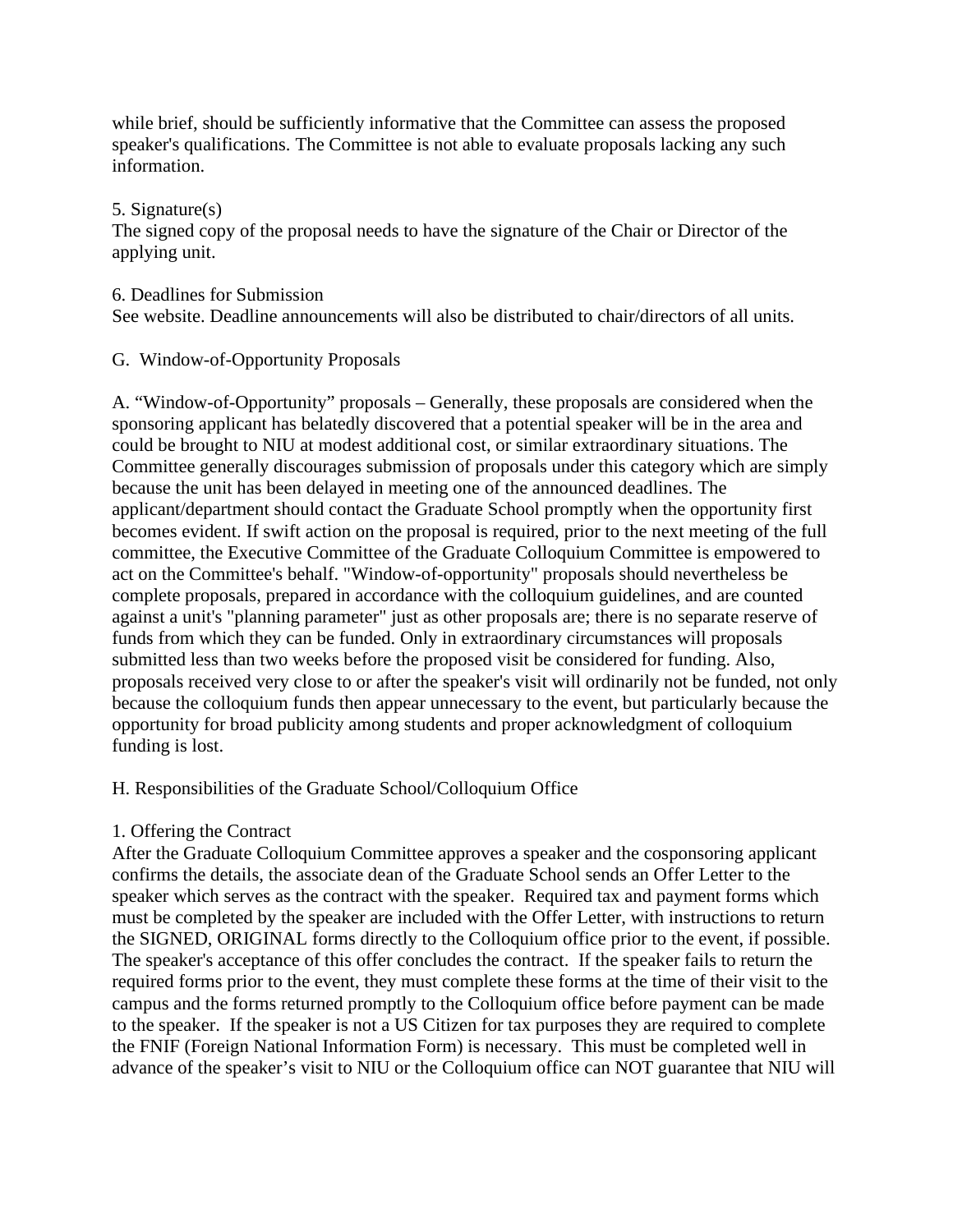while brief, should be sufficiently informative that the Committee can assess the proposed speaker's qualifications. The Committee is not able to evaluate proposals lacking any such information.

#### 5. Signature(s)

The signed copy of the proposal needs to have the signature of the Chair or Director of the applying unit.

#### 6. Deadlines for Submission

See website. Deadline announcements will also be distributed to chair/directors of all units.

#### G. Window-of-Opportunity Proposals

A. "Window-of-Opportunity" proposals – Generally, these proposals are considered when the sponsoring applicant has belatedly discovered that a potential speaker will be in the area and could be brought to NIU at modest additional cost, or similar extraordinary situations. The Committee generally discourages submission of proposals under this category which are simply because the unit has been delayed in meeting one of the announced deadlines. The applicant/department should contact the Graduate School promptly when the opportunity first becomes evident. If swift action on the proposal is required, prior to the next meeting of the full committee, the Executive Committee of the Graduate Colloquium Committee is empowered to act on the Committee's behalf. "Window-of-opportunity" proposals should nevertheless be complete proposals, prepared in accordance with the colloquium guidelines, and are counted against a unit's "planning parameter" just as other proposals are; there is no separate reserve of funds from which they can be funded. Only in extraordinary circumstances will proposals submitted less than two weeks before the proposed visit be considered for funding. Also, proposals received very close to or after the speaker's visit will ordinarily not be funded, not only because the colloquium funds then appear unnecessary to the event, but particularly because the opportunity for broad publicity among students and proper acknowledgment of colloquium funding is lost.

#### H. Responsibilities of the Graduate School/Colloquium Office

# 1. Offering the Contract

After the Graduate Colloquium Committee approves a speaker and the cosponsoring applicant confirms the details, the associate dean of the Graduate School sends an Offer Letter to the speaker which serves as the contract with the speaker. Required tax and payment forms which must be completed by the speaker are included with the Offer Letter, with instructions to return the SIGNED, ORIGINAL forms directly to the Colloquium office prior to the event, if possible. The speaker's acceptance of this offer concludes the contract. If the speaker fails to return the required forms prior to the event, they must complete these forms at the time of their visit to the campus and the forms returned promptly to the Colloquium office before payment can be made to the speaker. If the speaker is not a US Citizen for tax purposes they are required to complete the FNIF (Foreign National Information Form) is necessary. This must be completed well in advance of the speaker's visit to NIU or the Colloquium office can NOT guarantee that NIU will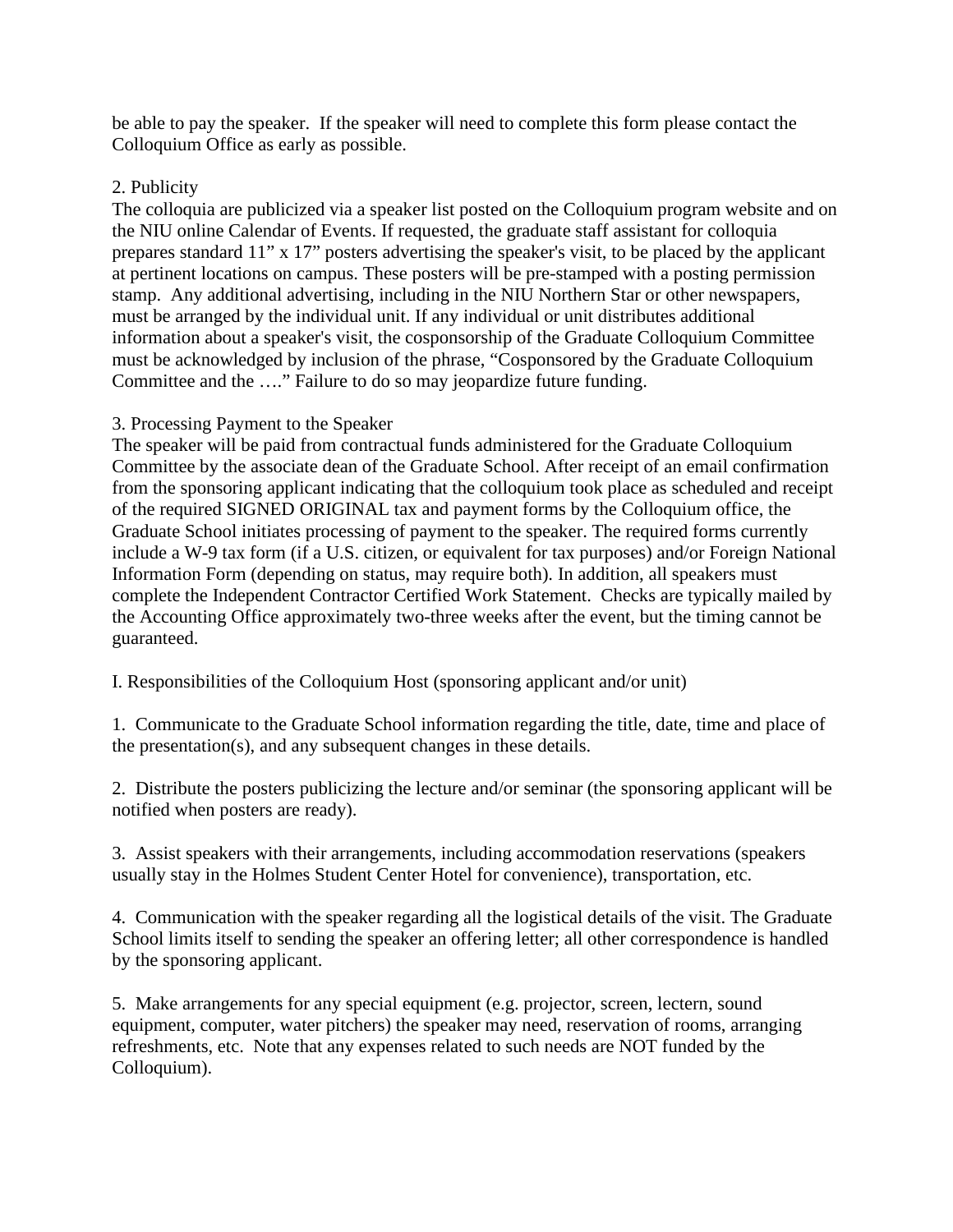be able to pay the speaker. If the speaker will need to complete this form please contact the Colloquium Office as early as possible.

# 2. Publicity

The colloquia are publicized via a speaker list posted on the Colloquium program website and on the NIU online Calendar of Events. If requested, the graduate staff assistant for colloquia prepares standard 11" x 17" posters advertising the speaker's visit, to be placed by the applicant at pertinent locations on campus. These posters will be pre-stamped with a posting permission stamp. Any additional advertising, including in the NIU Northern Star or other newspapers, must be arranged by the individual unit. If any individual or unit distributes additional information about a speaker's visit, the cosponsorship of the Graduate Colloquium Committee must be acknowledged by inclusion of the phrase, "Cosponsored by the Graduate Colloquium Committee and the …." Failure to do so may jeopardize future funding.

#### 3. Processing Payment to the Speaker

The speaker will be paid from contractual funds administered for the Graduate Colloquium Committee by the associate dean of the Graduate School. After receipt of an email confirmation from the sponsoring applicant indicating that the colloquium took place as scheduled and receipt of the required SIGNED ORIGINAL tax and payment forms by the Colloquium office, the Graduate School initiates processing of payment to the speaker. The required forms currently include a W-9 tax form (if a U.S. citizen, or equivalent for tax purposes) and/or Foreign National Information Form (depending on status, may require both). In addition, all speakers must complete the Independent Contractor Certified Work Statement. Checks are typically mailed by the Accounting Office approximately two-three weeks after the event, but the timing cannot be guaranteed.

I. Responsibilities of the Colloquium Host (sponsoring applicant and/or unit)

1. Communicate to the Graduate School information regarding the title, date, time and place of the presentation(s), and any subsequent changes in these details.

2. Distribute the posters publicizing the lecture and/or seminar (the sponsoring applicant will be notified when posters are ready).

3. Assist speakers with their arrangements, including accommodation reservations (speakers usually stay in the Holmes Student Center Hotel for convenience), transportation, etc.

4. Communication with the speaker regarding all the logistical details of the visit. The Graduate School limits itself to sending the speaker an offering letter; all other correspondence is handled by the sponsoring applicant.

5. Make arrangements for any special equipment (e.g. projector, screen, lectern, sound equipment, computer, water pitchers) the speaker may need, reservation of rooms, arranging refreshments, etc. Note that any expenses related to such needs are NOT funded by the Colloquium).